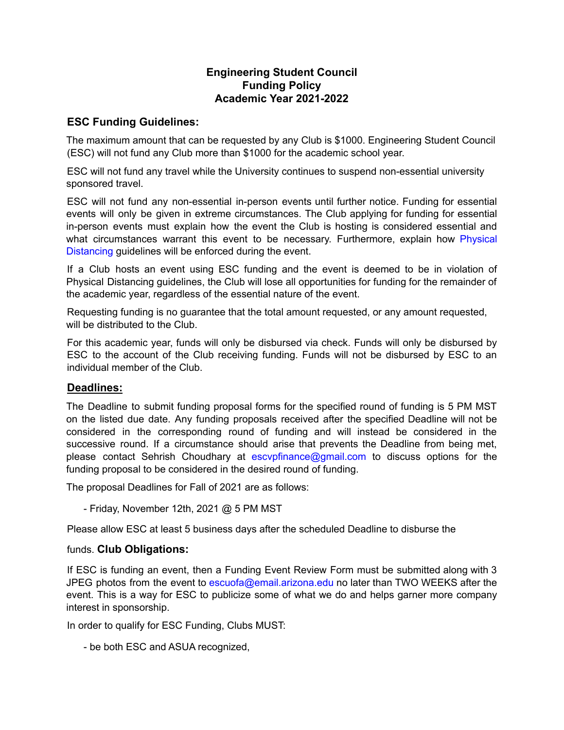## **Engineering Student Council Funding Policy Academic Year 2021-2022**

## **ESC Funding Guidelines:**

The maximum amount that can be requested by any Club is \$1000. Engineering Student Council (ESC) will not fund any Club more than \$1000 for the academic school year.

ESC will not fund any travel while the University continues to suspend non-essential university sponsored travel.

ESC will not fund any non-essential in-person events until further notice. Funding for essential events will only be given in extreme circumstances. The Club applying for funding for essential in-person events must explain how the event the Club is hosting is considered essential and what circumstances warrant this event to be necessary. Furthermore, explain how Physical Distancing guidelines will be enforced during the event.

If a Club hosts an event using ESC funding and the event is deemed to be in violation of Physical Distancing guidelines, the Club will lose all opportunities for funding for the remainder of the academic year, regardless of the essential nature of the event.

Requesting funding is no guarantee that the total amount requested, or any amount requested, will be distributed to the Club.

For this academic year, funds will only be disbursed via check. Funds will only be disbursed by ESC to the account of the Club receiving funding. Funds will not be disbursed by ESC to an individual member of the Club.

## **Deadlines:**

The Deadline to submit funding proposal forms for the specified round of funding is 5 PM MST on the listed due date. Any funding proposals received after the specified Deadline will not be considered in the corresponding round of funding and will instead be considered in the successive round. If a circumstance should arise that prevents the Deadline from being met, please contact Sehrish Choudhary at escypfinance@gmail.com to discuss options for the funding proposal to be considered in the desired round of funding.

The proposal Deadlines for Fall of 2021 are as follows:

- Friday, November 12th, 2021 @ 5 PM MST

Please allow ESC at least 5 business days after the scheduled Deadline to disburse the

## funds. **Club Obligations:**

If ESC is funding an event, then a Funding Event Review Form must be submitted along with 3 JPEG photos from the event to escuofa@email.arizona.edu no later than TWO WEEKS after the event. This is a way for ESC to publicize some of what we do and helps garner more company interest in sponsorship.

In order to qualify for ESC Funding, Clubs MUST:

- be both ESC and ASUA recognized,